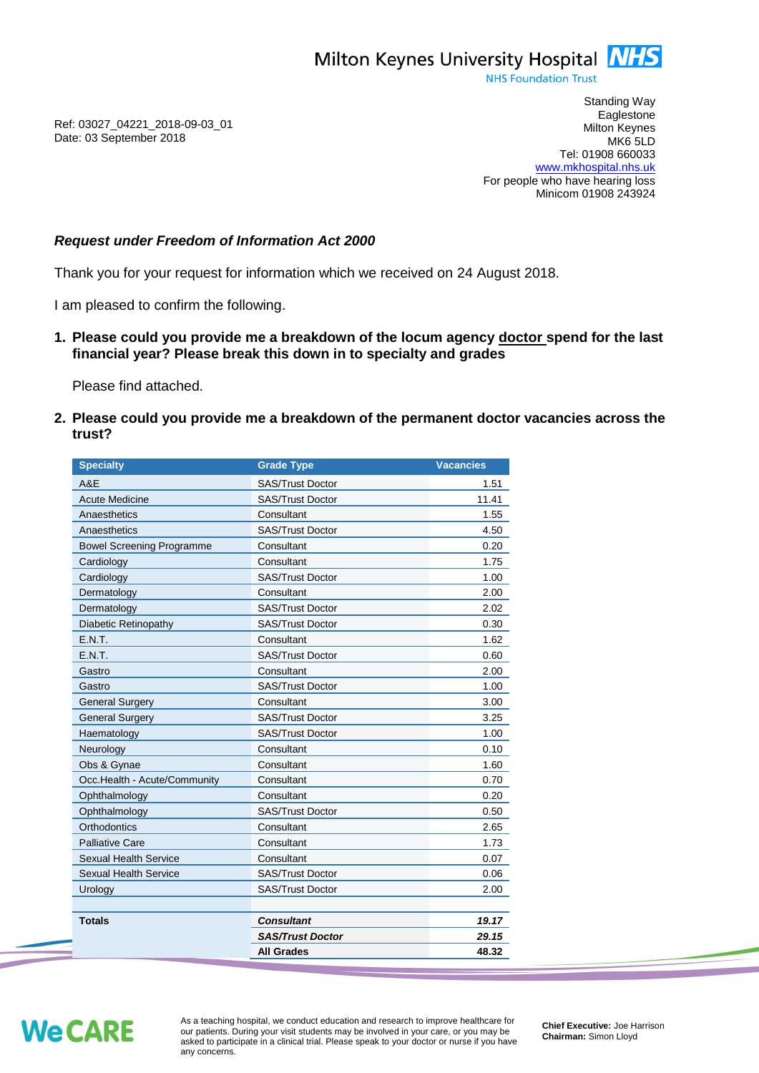

**NHS Foundation Trust** 

Ref: 03027\_04221\_2018-09-03\_01 Date: 03 September 2018

Standing Way **Eaglestone** Milton Keynes MK6 5LD Tel: 01908 660033 [www.mkhospital.nhs.uk](http://www.mkhospital.nhs.uk/) For people who have hearing loss Minicom 01908 243924

## *Request under Freedom of Information Act 2000*

Thank you for your request for information which we received on 24 August 2018.

I am pleased to confirm the following.

**1. Please could you provide me a breakdown of the locum agency doctor spend for the last financial year? Please break this down in to specialty and grades**

Please find attached.

**2. Please could you provide me a breakdown of the permanent doctor vacancies across the trust?** 

| <b>Specialty</b>                 | <b>Grade Type</b>       | <b>Vacancies</b> |
|----------------------------------|-------------------------|------------------|
| A&E                              | <b>SAS/Trust Doctor</b> | 1.51             |
| <b>Acute Medicine</b>            | <b>SAS/Trust Doctor</b> | 11.41            |
| Anaesthetics                     | Consultant              | 1.55             |
| Anaesthetics                     | <b>SAS/Trust Doctor</b> | 4.50             |
| <b>Bowel Screening Programme</b> | Consultant              | 0.20             |
| Cardiology                       | Consultant              | 1.75             |
| Cardiology                       | <b>SAS/Trust Doctor</b> | 1.00             |
| Dermatology                      | Consultant              | 2.00             |
| Dermatology                      | <b>SAS/Trust Doctor</b> | 2.02             |
| Diabetic Retinopathy             | <b>SAS/Trust Doctor</b> | 0.30             |
| E.N.T.                           | Consultant              | 1.62             |
| E.N.T.                           | <b>SAS/Trust Doctor</b> | 0.60             |
| Gastro                           | Consultant              | 2.00             |
| Gastro                           | SAS/Trust Doctor        | 1.00             |
| <b>General Surgery</b>           | Consultant              | 3.00             |
| <b>General Surgery</b>           | <b>SAS/Trust Doctor</b> | 3.25             |
| Haematology                      | <b>SAS/Trust Doctor</b> | 1.00             |
| Neurology                        | Consultant              | 0.10             |
| Obs & Gynae                      | Consultant              | 1.60             |
| Occ.Health - Acute/Community     | Consultant              | 0.70             |
| Ophthalmology                    | Consultant              | 0.20             |
| Ophthalmology                    | <b>SAS/Trust Doctor</b> | 0.50             |
| Orthodontics                     | Consultant              | 2.65             |
| <b>Palliative Care</b>           | Consultant              | 1.73             |
| <b>Sexual Health Service</b>     | Consultant              | 0.07             |
| <b>Sexual Health Service</b>     | <b>SAS/Trust Doctor</b> | 0.06             |
| Urology                          | SAS/Trust Doctor        | 2.00             |
|                                  |                         |                  |
| <b>Totals</b>                    | <b>Consultant</b>       | 19.17            |
|                                  | <b>SAS/Trust Doctor</b> | 29.15            |
|                                  | All Grades              | 48.32            |

## **We CARE**

As a teaching hospital, we conduct education and research to improve healthcare for our patients. During your visit students may be involved in your care, or you may be asked to participate in a clinical trial. Please speak to your doctor or nurse if you have any concerns.

**Chief Executive:** Joe Harrison **Chairman:** Simon Lloyd